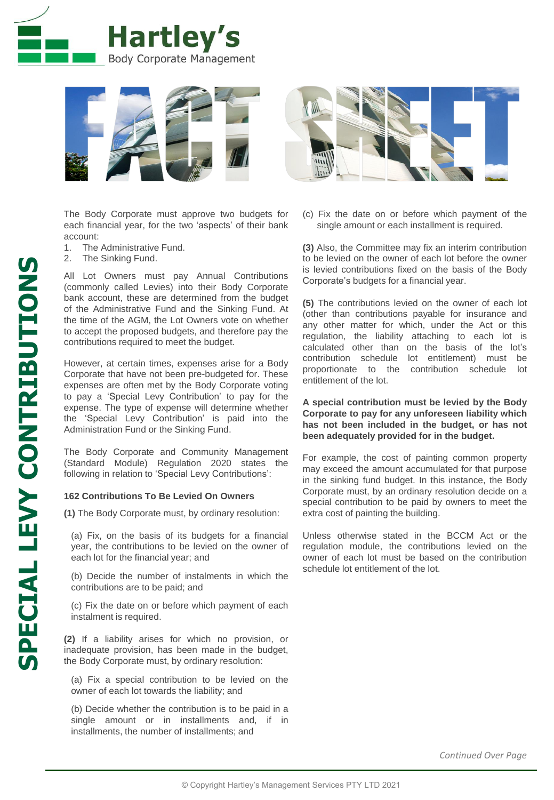



The Body Corporate must approve two budgets for each financial year, for the two 'aspects' of their bank account:

- 1. The Administrative Fund.
- 2. The Sinking Fund.

All Lot Owners must pay Annual Contributions (commonly called Levies) into their Body Corporate bank account, these are determined from the budget of the Administrative Fund and the Sinking Fund. At the time of the AGM, the Lot Owners vote on whether to accept the proposed budgets, and therefore pay the contributions required to meet the budget.

However, at certain times, expenses arise for a Body Corporate that have not been pre-budgeted for. These expenses are often met by the Body Corporate voting to pay a 'Special Levy Contribution' to pay for the expense. The type of expense will determine whether the 'Special Levy Contribution' is paid into the Administration Fund or the Sinking Fund.

The Body Corporate and Community Management (Standard Module) Regulation 2020 states the following in relation to 'Special Levy Contributions':

## **162 Contributions To Be Levied On Owners**

**(1)** The Body Corporate must, by ordinary resolution:

(a) Fix, on the basis of its budgets for a financial year, the contributions to be levied on the owner of each lot for the financial year; and

(b) Decide the number of instalments in which the contributions are to be paid; and

(c) Fix the date on or before which payment of each instalment is required.

**(2)** If a liability arises for which no provision, or inadequate provision, has been made in the budget, the Body Corporate must, by ordinary resolution:

(a) Fix a special contribution to be levied on the owner of each lot towards the liability; and

(b) Decide whether the contribution is to be paid in a single amount or in installments and, if in installments, the number of installments; and

(c) Fix the date on or before which payment of the single amount or each installment is required.

**(3)** Also, the Committee may fix an interim contribution to be levied on the owner of each lot before the owner is levied contributions fixed on the basis of the Body Corporate's budgets for a financial year.

**(5)** The contributions levied on the owner of each lot (other than contributions payable for insurance and any other matter for which, under the Act or this regulation, the liability attaching to each lot is calculated other than on the basis of the lot's contribution schedule lot entitlement) must be proportionate to the contribution schedule lot entitlement of the lot.

**A special contribution must be levied by the Body Corporate to pay for any unforeseen liability which has not been included in the budget, or has not been adequately provided for in the budget.**

For example, the cost of painting common property may exceed the amount accumulated for that purpose in the sinking fund budget. In this instance, the Body Corporate must, by an ordinary resolution decide on a special contribution to be paid by owners to meet the extra cost of painting the building.

Unless otherwise stated in the BCCM Act or the regulation module, the contributions levied on the owner of each lot must be based on the contribution schedule lot entitlement of the lot.

*Continued Over Page*

**SPECIAL LEVY CONTRIBUTIONS**

**SPECIAL LEVY CONTRIBUTIONS**